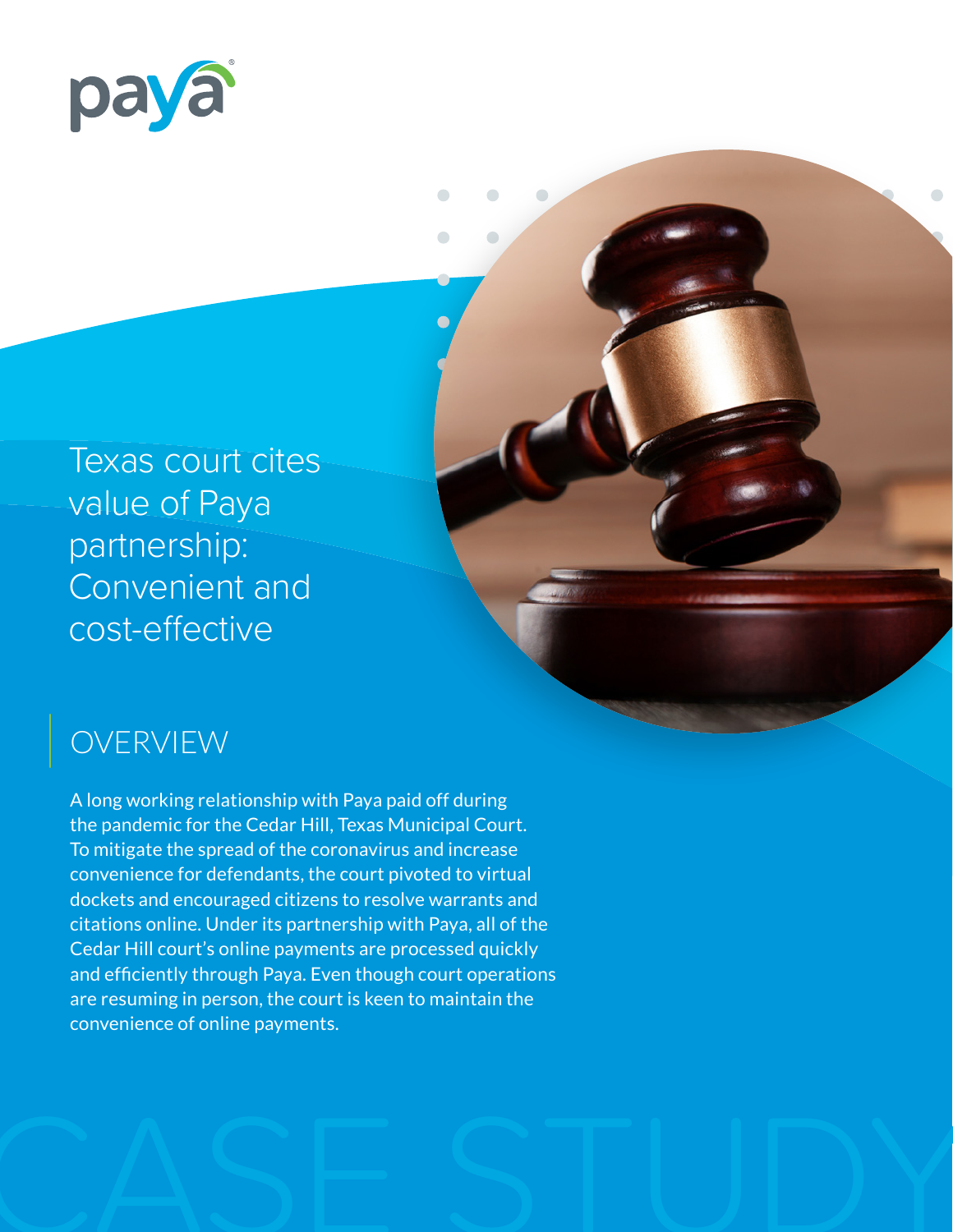

Texas court cites value of Paya partnership: Convenient and cost-effective

## OVERVIEW

A long working relationship with Paya paid off during the pandemic for the Cedar Hill, Texas Municipal Court. To mitigate the spread of the coronavirus and increase convenience for defendants, the court pivoted to virtual dockets and encouraged citizens to resolve warrants and citations online. Under its partnership with Paya, all of the Cedar Hill court's online payments are processed quickly and efficiently through Paya. Even though court operations are resuming in person, the court is keen to maintain the convenience of online payments.

 $\bigcap$ 

 $\overline{\phantom{a}}$ 

 $\sqrt{2}$